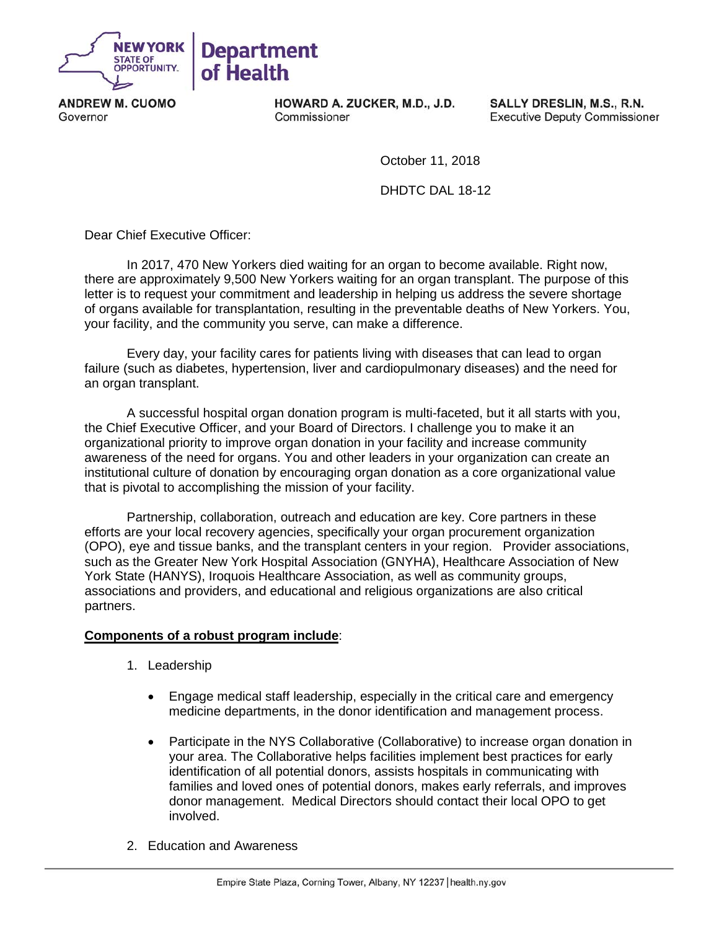

**ANDREW M. CUOMO** Governor

HOWARD A. ZUCKER, M.D., J.D. Commissioner

SALLY DRESLIN, M.S., R.N. **Executive Deputy Commissioner** 

October 11, 2018

DHDTC DAL 18-12

Dear Chief Executive Officer:

In 2017, 470 New Yorkers died waiting for an organ to become available. Right now, there are approximately 9,500 New Yorkers waiting for an organ transplant. The purpose of this letter is to request your commitment and leadership in helping us address the severe shortage of organs available for transplantation, resulting in the preventable deaths of New Yorkers. You, your facility, and the community you serve, can make a difference.

Every day, your facility cares for patients living with diseases that can lead to organ failure (such as diabetes, hypertension, liver and cardiopulmonary diseases) and the need for an organ transplant.

A successful hospital organ donation program is multi-faceted, but it all starts with you, the Chief Executive Officer, and your Board of Directors. I challenge you to make it an organizational priority to improve organ donation in your facility and increase community awareness of the need for organs. You and other leaders in your organization can create an institutional culture of donation by encouraging organ donation as a core organizational value that is pivotal to accomplishing the mission of your facility.

Partnership, collaboration, outreach and education are key. Core partners in these efforts are your local recovery agencies, specifically your organ procurement organization (OPO), eye and tissue banks, and the transplant centers in your region. Provider associations, such as the Greater New York Hospital Association (GNYHA), Healthcare Association of New York State (HANYS), Iroquois Healthcare Association, as well as community groups, associations and providers, and educational and religious organizations are also critical partners.

## **Components of a robust program include**:

- 1. Leadership
	- Engage medical staff leadership, especially in the critical care and emergency medicine departments, in the donor identification and management process.
	- Participate in the NYS Collaborative (Collaborative) to increase organ donation in your area. The Collaborative helps facilities implement best practices for early identification of all potential donors, assists hospitals in communicating with families and loved ones of potential donors, makes early referrals, and improves donor management. Medical Directors should contact their local OPO to get involved.
- 2. Education and Awareness